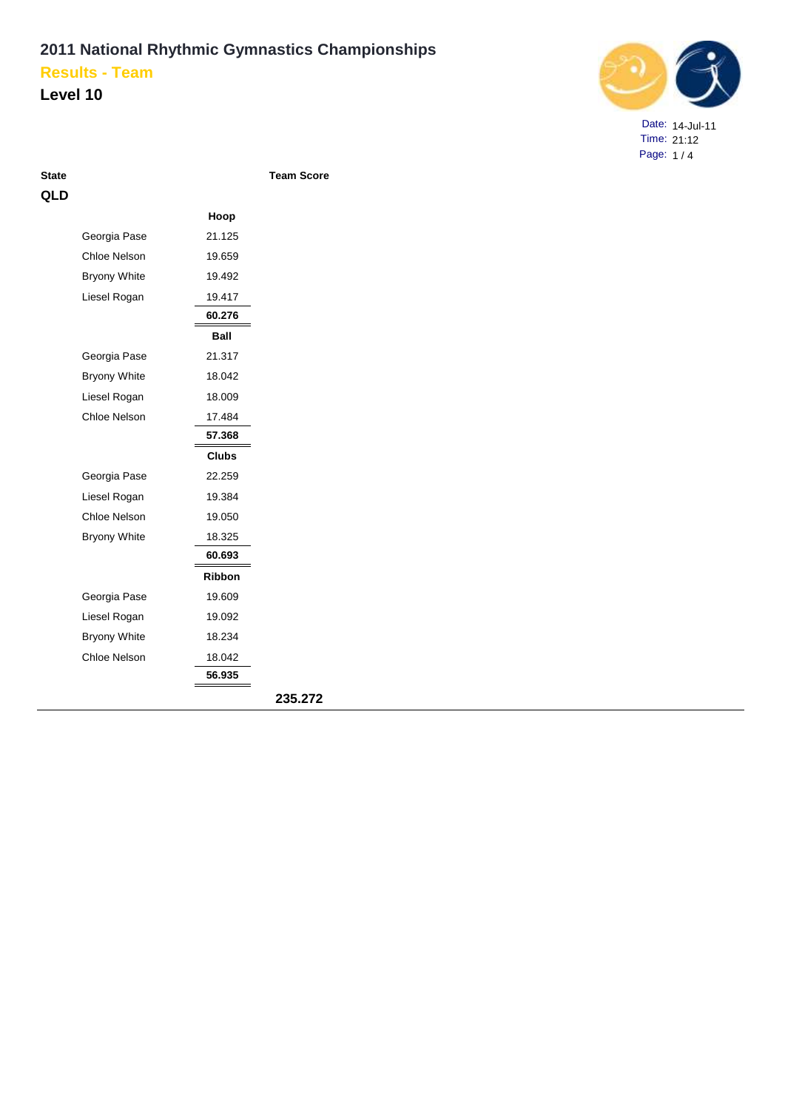### **Level 10**



Date: 14-Jul-11 Time: 21:12 Page: 1 / 4

| гате |  |
|------|--|
| н.   |  |

|                     | Hoop          |         |
|---------------------|---------------|---------|
| Georgia Pase        | 21.125        |         |
| Chloe Nelson        | 19.659        |         |
| <b>Bryony White</b> | 19.492        |         |
| Liesel Rogan        | 19.417        |         |
|                     | 60.276        |         |
|                     | Ball          |         |
| Georgia Pase        | 21.317        |         |
| <b>Bryony White</b> | 18.042        |         |
| Liesel Rogan        | 18.009        |         |
| Chloe Nelson        | 17.484        |         |
|                     | 57.368        |         |
|                     | <b>Clubs</b>  |         |
| Georgia Pase        | 22.259        |         |
| Liesel Rogan        | 19.384        |         |
| Chloe Nelson        | 19.050        |         |
| <b>Bryony White</b> | 18.325        |         |
|                     | 60.693        |         |
|                     | <b>Ribbon</b> |         |
| Georgia Pase        | 19.609        |         |
| Liesel Rogan        | 19.092        |         |
| <b>Bryony White</b> | 18.234        |         |
| Chloe Nelson        | 18.042        |         |
|                     | 56.935        |         |
|                     |               | 235.272 |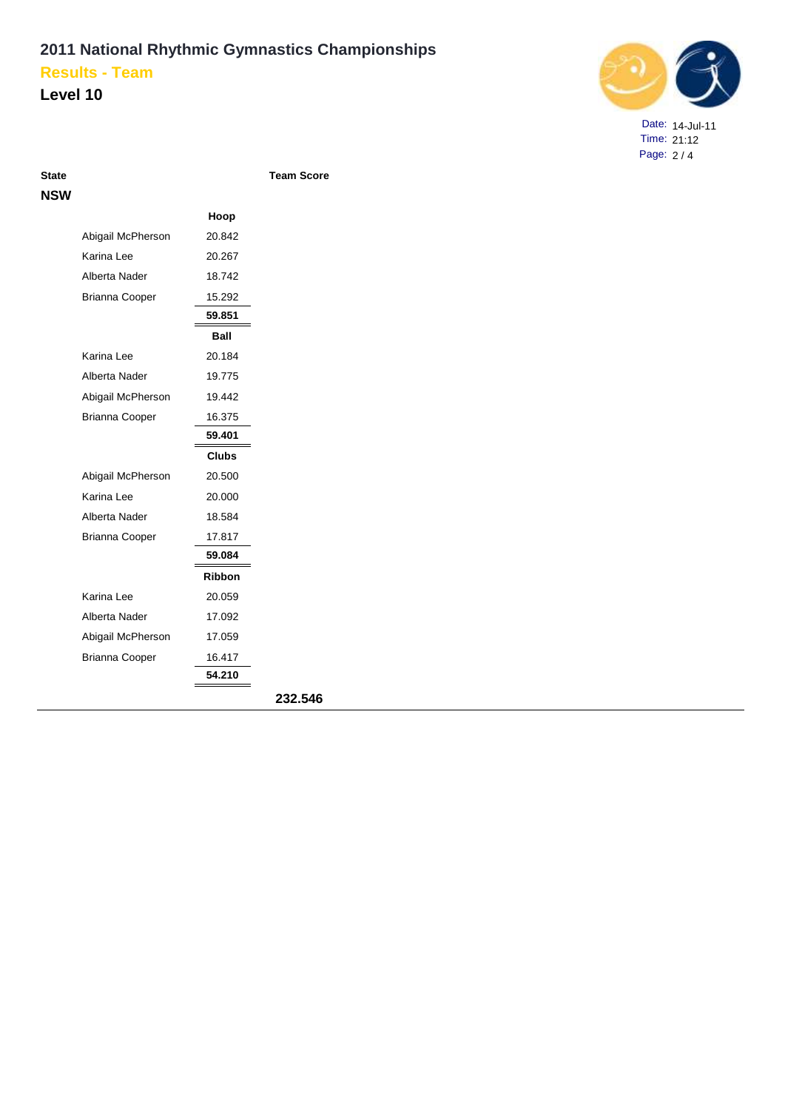**Level 10**



Date: 14-Jul-11 Time: 21:12 Page: 2 / 4

| NSW |                       |               |         |
|-----|-----------------------|---------------|---------|
|     |                       | Hoop          |         |
|     | Abigail McPherson     | 20.842        |         |
|     | Karina Lee            | 20.267        |         |
|     | Alberta Nader         | 18.742        |         |
|     | Brianna Cooper        | 15.292        |         |
|     |                       | 59.851        |         |
|     |                       | Ball          |         |
|     | Karina Lee            | 20.184        |         |
|     | Alberta Nader         | 19.775        |         |
|     | Abigail McPherson     | 19.442        |         |
|     | <b>Brianna Cooper</b> | 16.375        |         |
|     |                       | 59.401        |         |
|     |                       | <b>Clubs</b>  |         |
|     | Abigail McPherson     | 20.500        |         |
|     | Karina Lee            | 20.000        |         |
|     | Alberta Nader         | 18.584        |         |
|     | <b>Brianna Cooper</b> | 17.817        |         |
|     |                       | 59.084        |         |
|     |                       | <b>Ribbon</b> |         |
|     | Karina Lee            | 20.059        |         |
|     | Alberta Nader         | 17.092        |         |
|     | Abigail McPherson     | 17.059        |         |
|     | <b>Brianna Cooper</b> | 16.417        |         |
|     |                       | 54.210        |         |
|     |                       |               | 232.546 |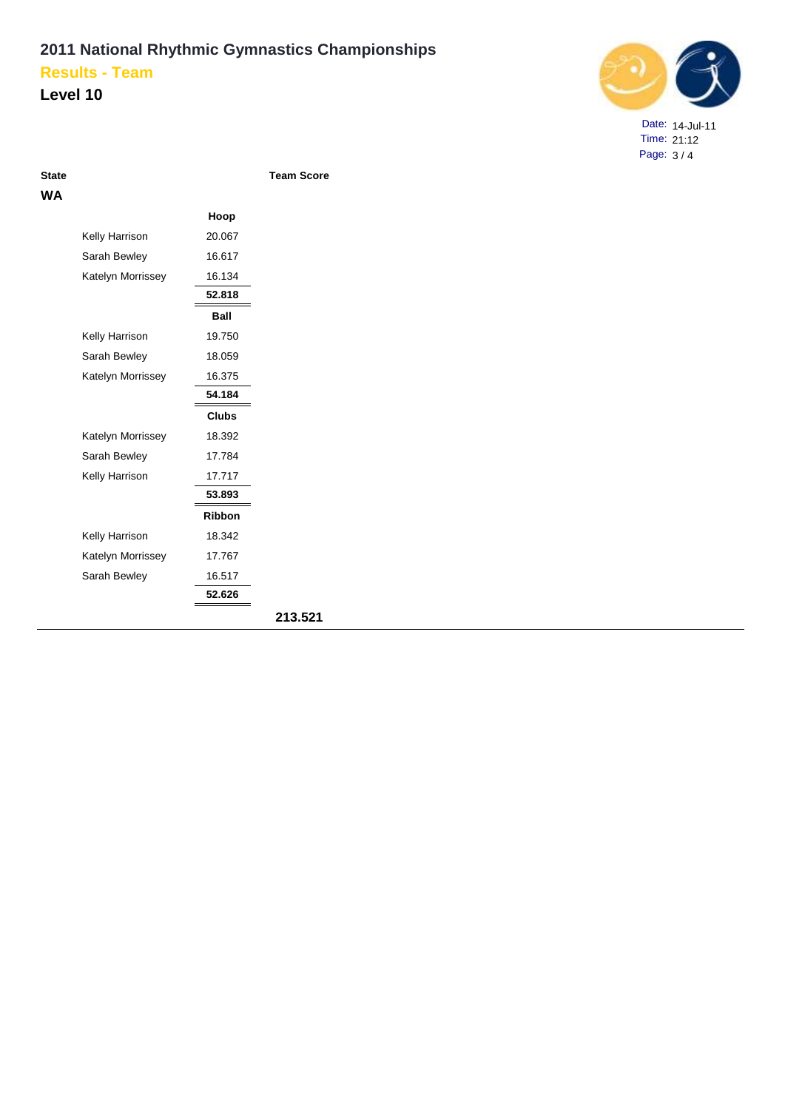### **Level 10**



Date: 14-Jul-11 Time: 21:12 Page: 3 / 4

**WA**

|                   | Hoop          |
|-------------------|---------------|
| Kelly Harrison    | 20.067        |
| Sarah Bewley      | 16.617        |
| Katelyn Morrissey | 16.134        |
|                   | 52.818        |
|                   | Ball          |
| Kelly Harrison    | 19.750        |
| Sarah Bewley      | 18.059        |
| Katelyn Morrissey | 16.375        |
|                   | 54.184        |
|                   | <b>Clubs</b>  |
| Katelyn Morrissey | 18.392        |
| Sarah Bewley      | 17.784        |
| Kelly Harrison    | 17.717        |
|                   | 53.893        |
|                   | <b>Ribbon</b> |
| Kelly Harrison    | 18.342        |
| Katelyn Morrissey | 17.767        |
| Sarah Bewley      | 16.517        |
|                   | 52.626        |